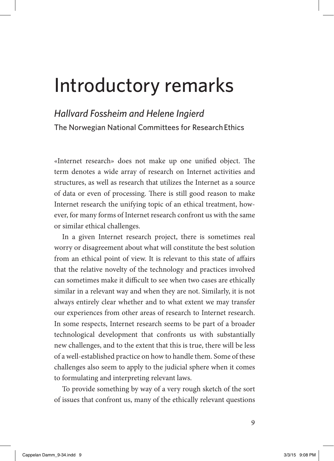## Introductory remarks

## *hallvard fossheim and helene ingierd* The Norwegian National Committees for Research Ethics

«Internet research» does not make up one unified object. The term denotes a wide array of research on Internet activities and structures, as well as research that utilizes the Internet as a source of data or even of processing. There is still good reason to make Internet research the unifying topic of an ethical treatment, however, for many forms of Internet research confront us with the same or similar ethical challenges.

In a given Internet research project, there is sometimes real worry or disagreement about what will constitute the best solution from an ethical point of view. It is relevant to this state of affairs that the relative novelty of the technology and practices involved can sometimes make it difficult to see when two cases are ethically similar in a relevant way and when they are not. Similarly, it is not always entirely clear whether and to what extent we may transfer our experiences from other areas of research to Internet research. In some respects, Internet research seems to be part of a broader technological development that confronts us with substantially new challenges, and to the extent that this is true, there will be less of a well-established practice on how to handle them. Some of these challenges also seem to apply to the judicial sphere when it comes to formulating and interpreting relevant laws.

To provide something by way of a very rough sketch of the sort of issues that confront us, many of the ethically relevant questions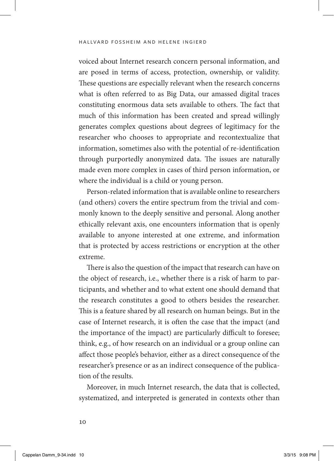voiced about Internet research concern personal information, and are posed in terms of access, protection, ownership, or validity. These questions are especially relevant when the research concerns what is often referred to as Big Data, our amassed digital traces constituting enormous data sets available to others. The fact that much of this information has been created and spread willingly generates complex questions about degrees of legitimacy for the researcher who chooses to appropriate and recontextualize that information, sometimes also with the potential of re-identification through purportedly anonymized data. The issues are naturally made even more complex in cases of third person information, or where the individual is a child or young person.

Person-related information that is available online to researchers (and others) covers the entire spectrum from the trivial and commonly known to the deeply sensitive and personal. Along another ethically relevant axis, one encounters information that is openly available to anyone interested at one extreme, and information that is protected by access restrictions or encryption at the other extreme.

There is also the question of the impact that research can have on the object of research, i.e., whether there is a risk of harm to participants, and whether and to what extent one should demand that the research constitutes a good to others besides the researcher. This is a feature shared by all research on human beings. But in the case of Internet research, it is often the case that the impact (and the importance of the impact) are particularly difficult to foresee; think, e.g., of how research on an individual or a group online can affect those people's behavior, either as a direct consequence of the researcher's presence or as an indirect consequence of the publication of the results.

Moreover, in much Internet research, the data that is collected, systematized, and interpreted is generated in contexts other than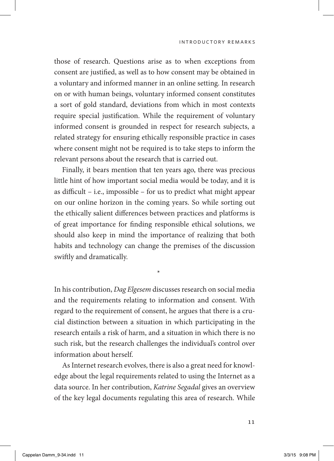those of research. Questions arise as to when exceptions from consent are justified, as well as to how consent may be obtained in a voluntary and informed manner in an online setting. In research on or with human beings, voluntary informed consent constitutes a sort of gold standard, deviations from which in most contexts require special justification. While the requirement of voluntary informed consent is grounded in respect for research subjects, a related strategy for ensuring ethically responsible practice in cases where consent might not be required is to take steps to inform the relevant persons about the research that is carried out.

Finally, it bears mention that ten years ago, there was precious little hint of how important social media would be today, and it is as difficult – i.e., impossible – for us to predict what might appear on our online horizon in the coming years. So while sorting out the ethically salient differences between practices and platforms is of great importance for finding responsible ethical solutions, we should also keep in mind the importance of realizing that both habits and technology can change the premises of the discussion swiftly and dramatically.

\*

In his contribution, *Dag Elgesem* discusses research on social media and the requirements relating to information and consent. With regard to the requirement of consent, he argues that there is a crucial distinction between a situation in which participating in the research entails a risk of harm, and a situation in which there is no such risk, but the research challenges the individual's control over information about herself.

As Internet research evolves, there is also a great need for knowledge about the legal requirements related to using the Internet as a data source. In her contribution, *Katrine Segadal* gives an overview of the key legal documents regulating this area of research. While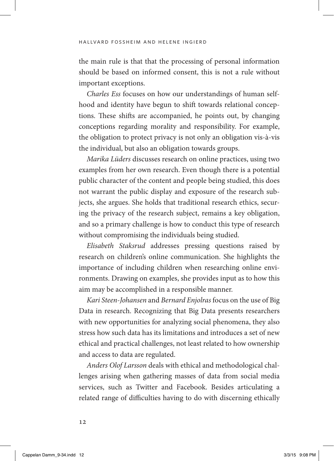the main rule is that that the processing of personal information should be based on informed consent, this is not a rule without important exceptions.

*Charles Ess* focuses on how our understandings of human selfhood and identity have begun to shift towards relational conceptions. These shifts are accompanied, he points out, by changing conceptions regarding morality and responsibility. For example, the obligation to protect privacy is not only an obligation vis-à-vis the individual, but also an obligation towards groups.

*Marika Lüders* discusses research on online practices, using two examples from her own research. Even though there is a potential public character of the content and people being studied, this does not warrant the public display and exposure of the research subjects, she argues. She holds that traditional research ethics, securing the privacy of the research subject, remains a key obligation, and so a primary challenge is how to conduct this type of research without compromising the individuals being studied.

*Elisabeth Staksrud* addresses pressing questions raised by research on children's online communication. She highlights the importance of including children when researching online environments. Drawing on examples, she provides input as to how this aim may be accomplished in a responsible manner.

*Kari Steen-Johansen* and *Bernard Enjolras* focus on the use of Big Data in research. Recognizing that Big Data presents researchers with new opportunities for analyzing social phenomena, they also stress how such data has its limitations and introduces a set of new ethical and practical challenges, not least related to how ownership and access to data are regulated.

*Anders Olof Larsson* deals with ethical and methodological challenges arising when gathering masses of data from social media services, such as Twitter and Facebook. Besides articulating a related range of difficulties having to do with discerning ethically